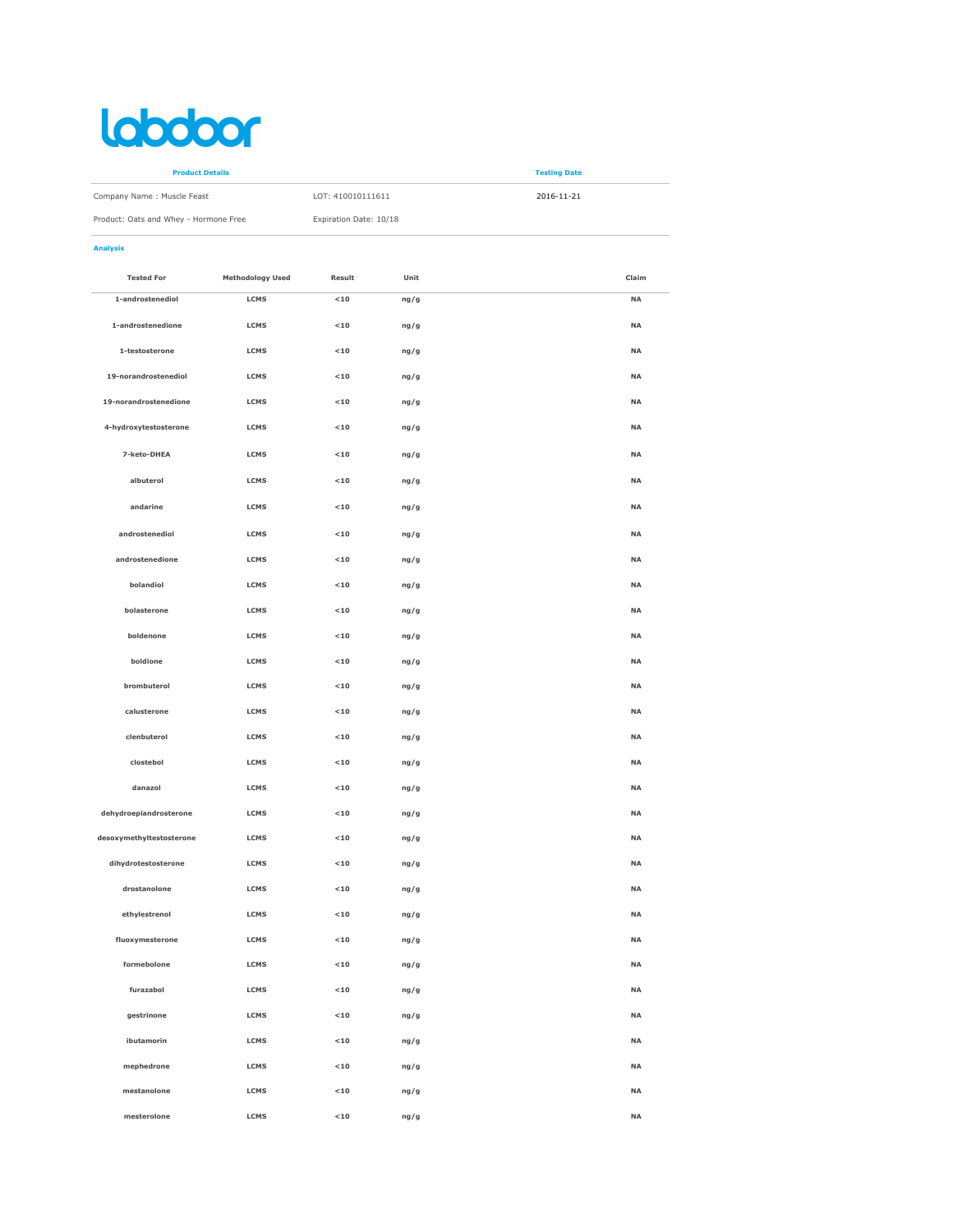## labobor

| <b>Product Details</b>                |                        | <b>Testing Date</b> |  |
|---------------------------------------|------------------------|---------------------|--|
| Company Name: Muscle Feast            | LOT: 410010111611      | 2016-11-21          |  |
| Product: Oats and Whey - Hormone Free | Expiration Date: 10/18 |                     |  |

## Analysis

| <b>Tested For</b>        | <b>Methodology Used</b> | Result      | Unit | Claim     |
|--------------------------|-------------------------|-------------|------|-----------|
| 1-androstenediol         | LCMS                    | $10$        | ng/g | <b>NA</b> |
| 1-androstenedione        | <b>LCMS</b>             | $<10$       | ng/g | <b>NA</b> |
| 1-testosterone           | <b>LCMS</b>             | $<10$       | ng/g | <b>NA</b> |
| 19-norandrostenediol     | <b>LCMS</b>             | $10$        | ng/g | <b>NA</b> |
| 19-norandrostenedione    | <b>LCMS</b>             | $<10$       | ng/g | <b>NA</b> |
| 4-hydroxytestosterone    | <b>LCMS</b>             | $10$        | ng/g | <b>NA</b> |
| 7-keto-DHEA              | <b>LCMS</b>             | $10$        | ng/g | <b>NA</b> |
| albuterol                | <b>LCMS</b>             | $<10$       | ng/g | <b>NA</b> |
| andarine                 | <b>LCMS</b>             | $10$        | ng/g | <b>NA</b> |
| androstenediol           | <b>LCMS</b>             | $10$        | ng/g | <b>NA</b> |
| androstenedione          | LCMS                    | $10$        | ng/g | <b>NA</b> |
| bolandiol                | <b>LCMS</b>             | $10$        | ng/g | <b>NA</b> |
| bolasterone              | <b>LCMS</b>             | $10$        | ng/g | <b>NA</b> |
| boldenone                | <b>LCMS</b>             | $10$        | ng/g | <b>NA</b> |
| boldione                 | <b>LCMS</b>             | $<10$       | ng/g | <b>NA</b> |
| brombuterol              | <b>LCMS</b>             | $<10$       | ng/g | <b>NA</b> |
| calusterone              | <b>LCMS</b>             | $<10$       | ng/g | <b>NA</b> |
| clenbuterol              | <b>LCMS</b>             | $10$        | ng/g | <b>NA</b> |
| clostebol                | <b>LCMS</b>             | $10$        | ng/g | <b>NA</b> |
| danazol                  | <b>LCMS</b>             | $10$        | ng/g | <b>NA</b> |
| dehydroepiandrosterone   | <b>LCMS</b>             | $10$        | ng/g | <b>NA</b> |
| desoxymethyltestosterone | <b>LCMS</b>             | $10$        | ng/g | <b>NA</b> |
| dihydrotestosterone      | <b>LCMS</b>             | $<10$       | ng/g | <b>NA</b> |
| drostanolone             | <b>LCMS</b>             | $10$        | ng/g | <b>NA</b> |
| ethylestrenol            | LCMS                    | $10$        | ng/g | <b>NA</b> |
| fluoxymesterone          | LCMS                    | $10$        | ng/g | <b>NA</b> |
| formebolone              | LCMS                    | $<$ 10 $\,$ | ng/g | $\sf NA$  |
| furazabol                | LCMS                    | $<$ 10 $\,$ | ng/g | <b>NA</b> |
| gestrinone               | LCMS                    | $<10$       | ng/g | <b>NA</b> |
| ibutamorin               | LCMS                    | $<10$       | ng/g | <b>NA</b> |
| mephedrone               | LCMS                    | $<$ 10 $\,$ | ng/g | <b>NA</b> |
| mestanolone              | LCMS                    | $<$ 10 $\,$ | ng/g | <b>NA</b> |
| mesterolone              | LCMS                    | $<10$       | ng/g | <b>NA</b> |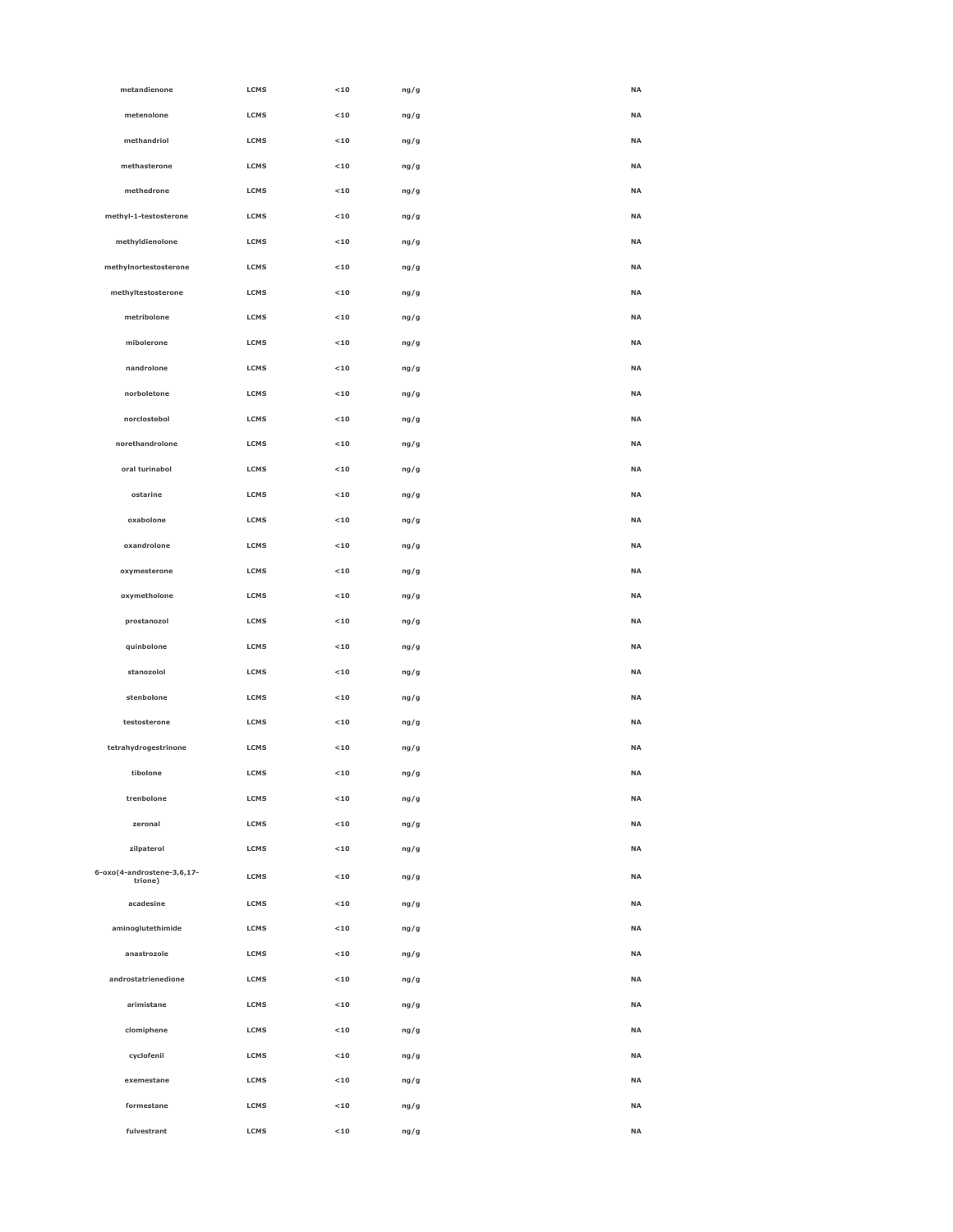| metandienone                          | LCMS        | $<10$ | ng/g | NA        |
|---------------------------------------|-------------|-------|------|-----------|
| metenolone                            | LCMS        | $<10$ | ng/g | NA        |
| methandriol                           | LCMS        | $<10$ | ng/g | <b>NA</b> |
| methasterone                          | LCMS        | $<10$ | ng/g | <b>NA</b> |
| methedrone                            | LCMS        | $<10$ | ng/g | <b>NA</b> |
| methyl-1-testosterone                 | LCMS        | $<10$ | ng/g | NA        |
| methyldienolone                       | LCMS        | $<10$ | ng/g | NA        |
| methylnortestosterone                 | LCMS        | $<10$ | ng/g | NA        |
| methyltestosterone                    | LCMS        | $<10$ | ng/g | NA        |
| metribolone                           | LCMS        | $<10$ | ng/g | <b>NA</b> |
| mibolerone                            | <b>LCMS</b> | < 10  | ng/g | <b>NA</b> |
| nandrolone                            | LCMS        | < 10  | ng/g | <b>NA</b> |
| norboletone                           | LCMS        | $<10$ | ng/g | NA        |
| norclostebol                          | LCMS        | $<10$ | ng/g | NA        |
| norethandrolone                       | LCMS        | $<10$ | ng/g | NA        |
| oral turinabol                        | LCMS        | $<10$ | ng/g | NA        |
| ostarine                              | LCMS        | < 10  | ng/g | <b>NA</b> |
| oxabolone                             | <b>LCMS</b> | < 10  | ng/g | <b>NA</b> |
| oxandrolone                           | LCMS        | $<10$ | ng/g | NA        |
| oxymesterone                          | LCMS        | $<10$ | ng/g | <b>NA</b> |
| oxymetholone                          | LCMS        | $<10$ | ng/g | NA        |
| prostanozol                           | LCMS        | $<10$ | ng/g | <b>NA</b> |
| quinbolone                            | LCMS        | $<10$ | ng/g | <b>NA</b> |
| stanozolol                            | LCMS        | $<10$ | ng/g | <b>NA</b> |
| stenbolone                            | <b>LCMS</b> | < 10  | ng/g | <b>NA</b> |
| testosterone                          | LCMS        | $<10$ | ng/g | NA        |
| tetrahydrogestrinone                  | LCMS        | $<10$ | ng/g | NA        |
| tibolone                              | LCMS        | $<10$ | ng/g | NA        |
| trenbolone                            | LCMS        | $<10$ | ng/g | NA        |
| zeronal                               | LCMS        | $10$  | ng/g | <b>NA</b> |
| zilpaterol                            | LCMS        | < 10  | ng/g | <b>NA</b> |
| 6-oxo(4-androstene-3,6,17-<br>trione) | LCMS        | $<10$ | ng/g | NA        |
| acadesine                             | <b>LCMS</b> | $<10$ | ng/g | <b>NA</b> |
| aminoglutethimide                     | LCMS        | $<10$ | ng/g | <b>NA</b> |
| anastrozole                           | LCMS        | $<10$ | ng/g | <b>NA</b> |
| androstatrienedione                   | LCMS        | $10$  | ng/g | NA        |
| arimistane                            | LCMS        | $<10$ | ng/g | NA        |
| clomiphene                            | LCMS        | $<10$ | ng/g | NA        |
| cyclofenil                            | LCMS        | $<10$ | ng/g | NA        |
| exemestane                            | <b>LCMS</b> | $<10$ | ng/g | <b>NA</b> |
| formestane                            | LCMS        | $<10$ | ng/g | <b>NA</b> |
| fulvestrant                           | <b>LCMS</b> | $<10$ | ng/g | <b>NA</b> |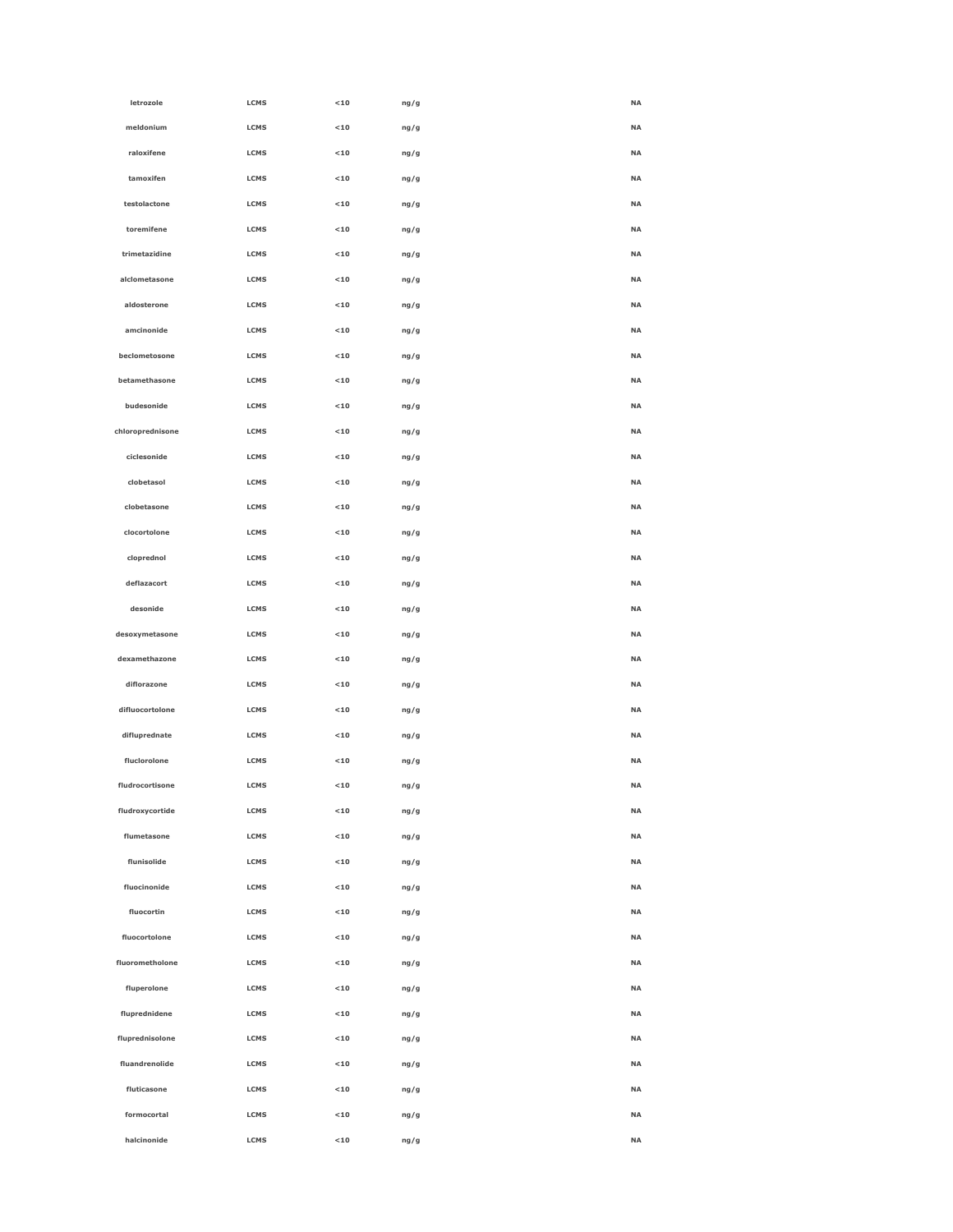|                  |             |             |      | <b>NA</b> |
|------------------|-------------|-------------|------|-----------|
| letrozole        | LCMS        | $<$ 10 $\,$ | ng/g |           |
| meldonium        | LCMS        | $<10$       | ng/g | <b>NA</b> |
| raloxifene       | LCMS        | $<10$       | ng/g | <b>NA</b> |
| tamoxifen        | LCMS        | $<10$       | ng/g | NA        |
| testolactone     | LCMS        | $<10$       | ng/g | <b>NA</b> |
| toremifene       | LCMS        | $<10$       | ng/g | <b>NA</b> |
| trimetazidine    | LCMS        | $<$ 10 $\,$ | ng/g | <b>NA</b> |
| alclometasone    | LCMS        | $<10$       | ng/g | <b>NA</b> |
| aldosterone      | LCMS        | $<10$       | ng/g | <b>NA</b> |
| amcinonide       | LCMS        | $<10$       | ng/g | <b>NA</b> |
| beclometosone    | LCMS        | $<10$       | ng/g | <b>NA</b> |
| betamethasone    | LCMS        | $<10$       | ng/g | <b>NA</b> |
| budesonide       | LCMS        | $<$ 10 $\,$ | ng/g | <b>NA</b> |
| chloroprednisone | LCMS        | $<$ 10 $\,$ | ng/g | <b>NA</b> |
| ciclesonide      | LCMS        | $<10$       | ng/g | <b>NA</b> |
| clobetasol       | LCMS        | $<10$       | ng/g | <b>NA</b> |
| clobetasone      | LCMS        | $<10$       | ng/g | <b>NA</b> |
| clocortolone     | LCMS        | $<10$       | ng/g | <b>NA</b> |
| cloprednol       | LCMS        | $<10$       | ng/g | <b>NA</b> |
| deflazacort      | LCMS        | $<$ 10 $\,$ | ng/g | <b>NA</b> |
| desonide         | LCMS        | $<$ 10 $\,$ | ng/g | <b>NA</b> |
| desoxymetasone   | LCMS        | $<10$       | ng/g | <b>NA</b> |
| dexamethazone    | LCMS        | $<10$       | ng/g | <b>NA</b> |
| diflorazone      | LCMS        | $<10$       | ng/g | <b>NA</b> |
| difluocortolone  | LCMS        | $<$ 10 $\,$ | ng/g | <b>NA</b> |
| difluprednate    | LCMS        | $<$ 10 $\,$ | ng/g | <b>NA</b> |
| fluclorolone     | LCMS        | $<$ 10 $\,$ | ng/g | <b>NA</b> |
| fludrocortisone  | LCMS        | $<$ 10 $\,$ | ng/g | <b>NA</b> |
| fludroxycortide  | LCMS        | $<10$       | ng/g | <b>NA</b> |
| flumetasone      | LCMS        | $<10$       | ng/g | NA        |
| flunisolide      | LCMS        | $<10$       | ng/g | <b>NA</b> |
| fluocinonide     | LCMS        | $<10$       | ng/g | <b>NA</b> |
| fluocortin       | LCMS        | $<10$       | ng/g | <b>NA</b> |
| fluocortolone    | LCMS        | $<10$       | ng/g | <b>NA</b> |
| fluorometholone  | LCMS        | $<10$       | ng/g | <b>NA</b> |
| fluperolone      | LCMS        | $<10$       | ng/g | <b>NA</b> |
| fluprednidene    | LCMS        | $<10$       | ng/g | <b>NA</b> |
| fluprednisolone  | LCMS        | $<10$       | ng/g | <b>NA</b> |
| fluandrenolide   | LCMS        | $<10$       | ng/g | <b>NA</b> |
| fluticasone      | LCMS        | $<10$       |      | <b>NA</b> |
|                  |             |             | ng/g |           |
| formocortal      | LCMS        | $<10$       | ng/g | <b>NA</b> |
| halcinonide      | <b>LCMS</b> | < 10        | ng/g | <b>NA</b> |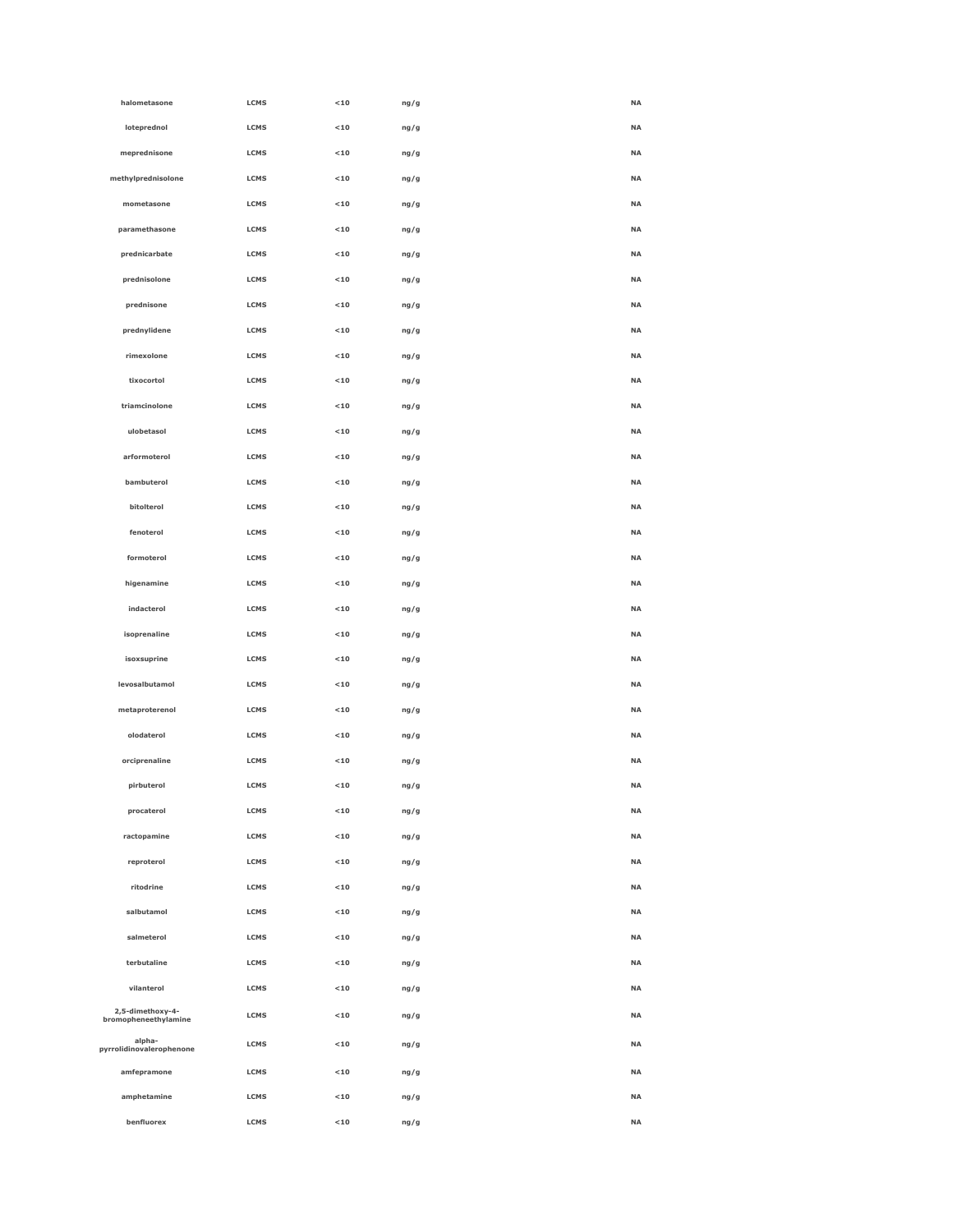| halometasone                             | LCMS        | $<10$       | ng/g | <b>NA</b> |
|------------------------------------------|-------------|-------------|------|-----------|
| loteprednol                              | <b>LCMS</b> | $<10$       | ng/g | <b>NA</b> |
| meprednisone                             | LCMS        | $<10$       | ng/g | <b>NA</b> |
| methylprednisolone                       | <b>LCMS</b> | $10$        | ng/g | <b>NA</b> |
| mometasone                               | LCMS        | $<10$       | ng/g | <b>NA</b> |
| paramethasone                            | LCMS        | $<10$       | ng/g | <b>NA</b> |
| prednicarbate                            | LCMS        | $<10$       | ng/g | <b>NA</b> |
| prednisolone                             | LCMS        | < 10        | ng/g | <b>NA</b> |
| prednisone                               | LCMS        | $10$        | ng/g | <b>NA</b> |
| prednylidene                             | LCMS        | $10$        | ng/g | <b>NA</b> |
| rimexolone                               | LCMS        | $10$        | ng/g | <b>NA</b> |
| tixocortol                               | <b>LCMS</b> | $<10$       | ng/g | <b>NA</b> |
| triamcinolone                            | LCMS        | $<10$       | ng/g | <b>NA</b> |
| ulobetasol                               | LCMS        | $<10$       | ng/g | <b>NA</b> |
| arformoterol                             | LCMS        | $<10$       | ng/g | <b>NA</b> |
| bambuterol                               | LCMS        | $10$        | ng/g | <b>NA</b> |
| bitolterol                               | LCMS        | $<10$       | ng/g | <b>NA</b> |
| fenoterol                                | LCMS        | $10$        | ng/g | <b>NA</b> |
| formoterol                               | <b>LCMS</b> | $<10$       | ng/g | <b>NA</b> |
| higenamine                               | LCMS        | $<10$       | ng/g | <b>NA</b> |
| indacterol                               | LCMS        | $<10$       | ng/g | <b>NA</b> |
| isoprenaline                             | LCMS        | $<10$       | ng/g | <b>NA</b> |
| isoxsuprine                              | LCMS        | $10$        | ng/g | <b>NA</b> |
| levosalbutamol                           | LCMS        | $<10$       | ng/g | <b>NA</b> |
| metaproterenol                           | LCMS        | $<10$       | ng/g | <b>NA</b> |
| olodaterol                               | LCMS        | $<10$       | ng/g | <b>NA</b> |
| orciprenaline                            | LCMS        | $<10$       | ng/g | <b>NA</b> |
| pirbuterol                               | <b>LCMS</b> | $10$        | ng/g | <b>NA</b> |
| procaterol                               | <b>LCMS</b> | $10$        | ng/g | <b>NA</b> |
| ractopamine                              | LCMS        | $<$ 10 $\,$ | ng/g | <b>NA</b> |
| reproterol                               | LCMS        | $10$        | ng/g | <b>NA</b> |
| ritodrine                                | LCMS        | $<10$       | ng/g | <b>NA</b> |
| salbutamol                               | <b>LCMS</b> | $<10$       | ng/g | <b>NA</b> |
| salmeterol                               | LCMS        | $<10$       | ng/g | <b>NA</b> |
| terbutaline                              | LCMS        | $10$        | ng/g | <b>NA</b> |
| vilanterol                               | LCMS        | $10$        | ng/g | <b>NA</b> |
| 2,5-dimethoxy-4-<br>bromopheneethylamine | LCMS        | $<10$       | ng/g | <b>NA</b> |
| alpha-<br>pyrrolidinovalerophenone       | LCMS        | $10$        | ng/g | <b>NA</b> |
| amfepramone                              | LCMS        | $10$        | ng/g | <b>NA</b> |
| amphetamine                              | LCMS        | $<$ 10 $\,$ | ng/g | <b>NA</b> |
| benfluorex                               | LCMS        | $<10$       | ng/g | <b>NA</b> |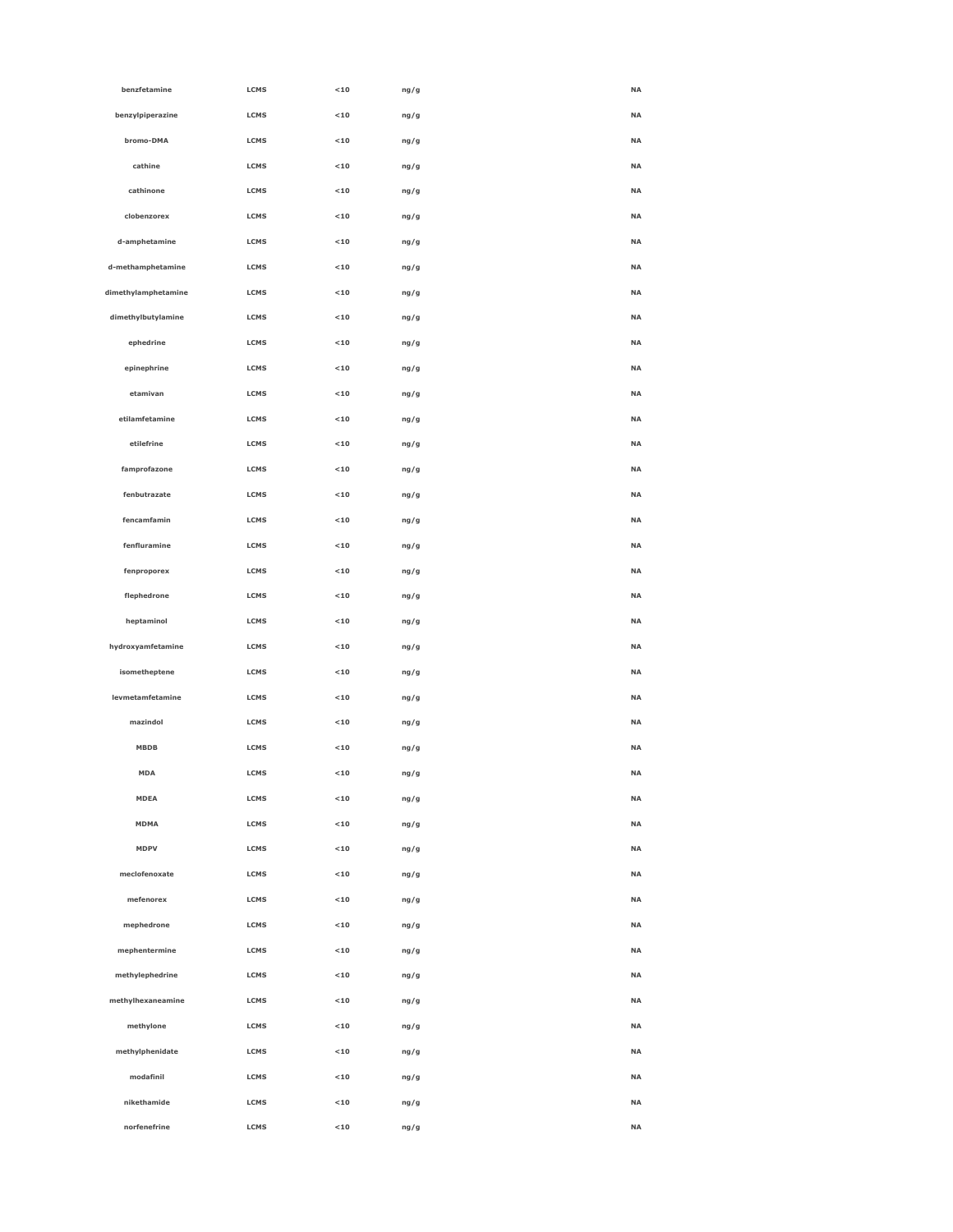| benzfetamine        | <b>LCMS</b> | < 10  | ng/g | <b>NA</b> |
|---------------------|-------------|-------|------|-----------|
| benzylpiperazine    | LCMS        | $<10$ | ng/g | <b>NA</b> |
| bromo-DMA           | LCMS        | $<10$ | ng/g | <b>NA</b> |
| cathine             | LCMS        | $<10$ | ng/g | <b>NA</b> |
| cathinone           | <b>LCMS</b> | $<10$ | ng/g | <b>NA</b> |
| clobenzorex         | <b>LCMS</b> | < 10  | ng/g | <b>NA</b> |
| d-amphetamine       | <b>LCMS</b> | $<10$ | ng/g | <b>NA</b> |
| d-methamphetamine   | LCMS        | $<10$ | ng/g | <b>NA</b> |
| dimethylamphetamine | LCMS        | $<10$ | ng/g | <b>NA</b> |
| dimethylbutylamine  | LCMS        | $<10$ | ng/g | <b>NA</b> |
| ephedrine           | <b>LCMS</b> | < 10  | ng/g | <b>NA</b> |
| epinephrine         | <b>LCMS</b> | $<10$ | ng/g | <b>NA</b> |
| etamivan            | LCMS        | < 10  | ng/g | <b>NA</b> |
| etilamfetamine      | <b>LCMS</b> | $<10$ | ng/g | <b>NA</b> |
| etilefrine          | LCMS        | $<10$ | ng/g | <b>NA</b> |
| famprofazone        | LCMS        | $<10$ | ng/g | <b>NA</b> |
| fenbutrazate        | LCMS        | $<10$ | ng/g | <b>NA</b> |
| fencamfamin         | <b>LCMS</b> | < 10  | ng/g | <b>NA</b> |
| fenfluramine        | <b>LCMS</b> | $<10$ | ng/g | <b>NA</b> |
| fenproporex         | <b>LCMS</b> | < 10  | ng/g | <b>NA</b> |
| flephedrone         | LCMS        | $<10$ | ng/g | <b>NA</b> |
| heptaminol          | LCMS        | $<10$ | ng/g | <b>NA</b> |
| hydroxyamfetamine   | LCMS        | $<10$ | ng/g | <b>NA</b> |
| isometheptene       | LCMS        | $<10$ | ng/g | <b>NA</b> |
| levmetamfetamine    | <b>LCMS</b> | < 10  | ng/g | <b>NA</b> |
| mazindol            | <b>LCMS</b> | $<10$ | ng/g | <b>NA</b> |
| MBDB                | LCMS        | $<10$ | ng/g | <b>NA</b> |
| <b>MDA</b>          | LCMS        | $<10$ | ng/g | <b>NA</b> |
| <b>MDEA</b>         | LCMS        | $<10$ | ng/g | <b>NA</b> |
| <b>MDMA</b>         | LCMS        | $10$  | ng/g | NA        |
| <b>MDPV</b>         | LCMS        | $<10$ | ng/g | NA        |
| meclofenoxate       | <b>LCMS</b> | < 10  | ng/g | <b>NA</b> |
| mefenorex           | LCMS        | $<10$ | ng/g | <b>NA</b> |
| mephedrone          | LCMS        | $<10$ | ng/g | NA        |
| mephentermine       | LCMS        | $10$  | ng/g | <b>NA</b> |
| methylephedrine     | LCMS        | $10$  | ng/g | NA        |
| methylhexaneamine   | LCMS        | $<10$ | ng/g | NA        |
| methylone           | <b>LCMS</b> | $<10$ | ng/g | NA        |
| methylphenidate     | <b>LCMS</b> | $<10$ | ng/g | <b>NA</b> |
| modafinil           | LCMS        | $<10$ | ng/g | NA        |
| nikethamide         | LCMS        | $<10$ | ng/g | NA        |
| norfenefrine        | LCMS        | $10$  | ng/g | NA        |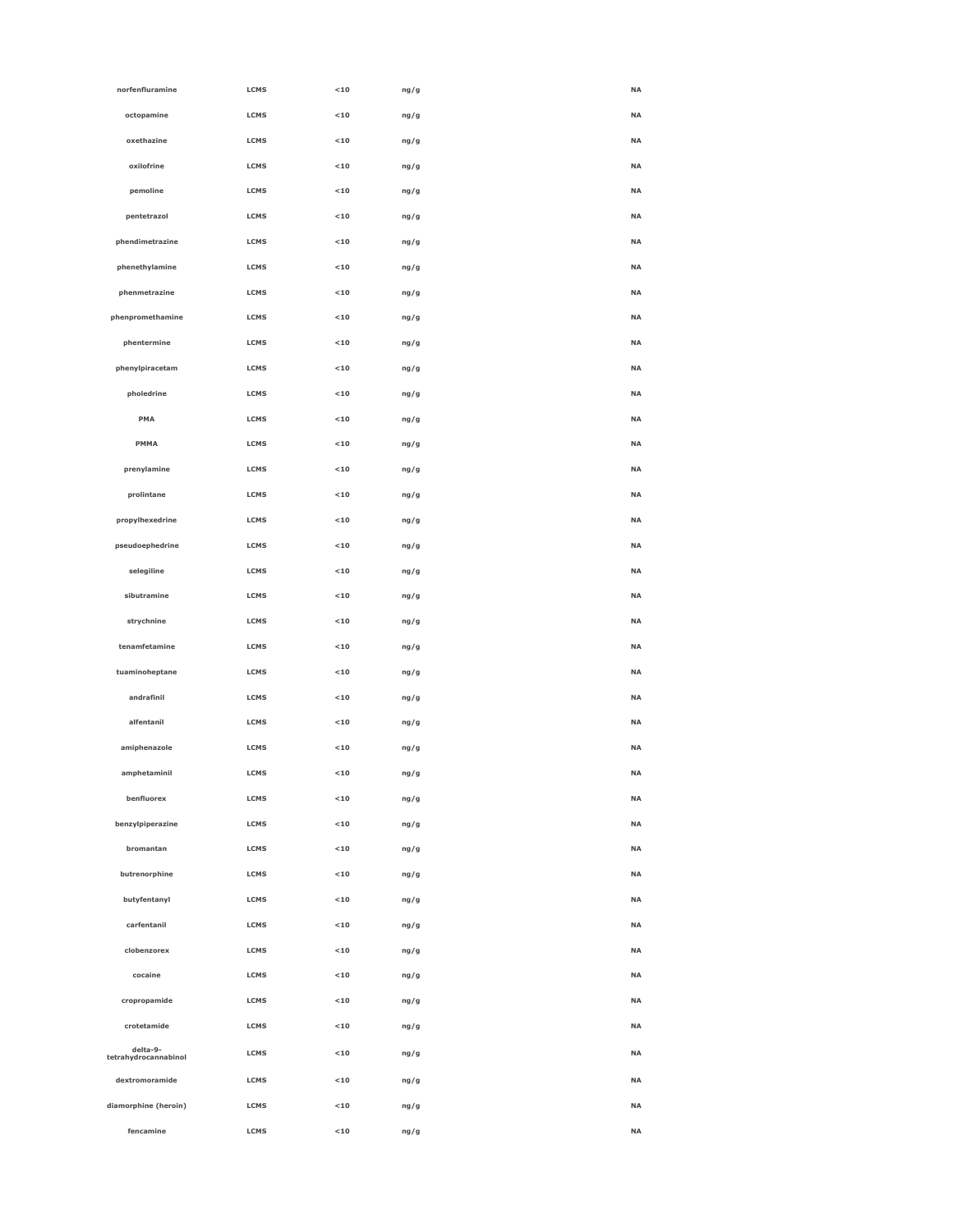| norfenfluramine                  | LCMS        | $<10$ | ng/g | <b>NA</b> |
|----------------------------------|-------------|-------|------|-----------|
| octopamine                       | <b>LCMS</b> | $<10$ | ng/g | <b>NA</b> |
| oxethazine                       | LCMS        | $<10$ | ng/g | <b>NA</b> |
| oxilofrine                       | LCMS        | $<10$ | ng/g | <b>NA</b> |
| pemoline                         | LCMS        | $<10$ | ng/g | <b>NA</b> |
| pentetrazol                      | <b>LCMS</b> | $<10$ | ng/g | <b>NA</b> |
| phendimetrazine                  | <b>LCMS</b> | $<10$ | ng/g | <b>NA</b> |
| phenethylamine                   | <b>LCMS</b> | $<10$ | ng/g | <b>NA</b> |
| phenmetrazine                    | <b>LCMS</b> | $<10$ | ng/g | <b>NA</b> |
| phenpromethamine                 | LCMS        | $<10$ | ng/g | <b>NA</b> |
| phentermine                      | LCMS        | $<10$ | ng/g | <b>NA</b> |
| phenylpiracetam                  | LCMS        | $<10$ | ng/g | <b>NA</b> |
| pholedrine                       | <b>LCMS</b> | $<10$ | ng/g | <b>NA</b> |
| PMA                              | <b>LCMS</b> | $<10$ | ng/g | <b>NA</b> |
| PMMA                             | <b>LCMS</b> | $<10$ | ng/g | <b>NA</b> |
| prenylamine                      | LCMS        | $<10$ | ng/g | <b>NA</b> |
| prolintane                       | LCMS        | $<10$ | ng/g | <b>NA</b> |
| propylhexedrine                  | LCMS        | $<10$ | ng/g | <b>NA</b> |
| pseudoephedrine                  | LCMS        | $<10$ | ng/g | <b>NA</b> |
| selegiline                       | <b>LCMS</b> | $<10$ | ng/g | <b>NA</b> |
| sibutramine                      | <b>LCMS</b> | $<10$ | ng/g | <b>NA</b> |
| strychnine                       | <b>LCMS</b> | $<10$ | ng/g | <b>NA</b> |
| tenamfetamine                    | LCMS        | $<10$ | ng/g | <b>NA</b> |
| tuaminoheptane                   | LCMS        | $<10$ | ng/g | <b>NA</b> |
| andrafinil                       | LCMS        | $<10$ | ng/g | <b>NA</b> |
| alfentanil                       | <b>LCMS</b> | $<10$ | ng/g | <b>NA</b> |
| amiphenazole                     | <b>LCMS</b> | $<10$ | ng/g | <b>NA</b> |
| amphetaminil                     | <b>LCMS</b> | < 10  | ng/g | <b>NA</b> |
| benfluorex                       | LCMS        | $<10$ | ng/g | NA        |
| benzylpiperazine                 | LCMS        | $<10$ | ng/g | NA        |
| bromantan                        | LCMS        | $<10$ | ng/g | <b>NA</b> |
| butrenorphine                    | <b>LCMS</b> | $<10$ | ng/g | <b>NA</b> |
| butyfentanyl                     | <b>LCMS</b> | $<10$ | ng/g | <b>NA</b> |
| carfentanil                      | <b>LCMS</b> | $<10$ | ng/g | <b>NA</b> |
| clobenzorex                      | LCMS        | $<10$ | ng/g | NA        |
| cocaine                          | LCMS        | $<10$ | ng/g | NA        |
| cropropamide                     | LCMS        | $<10$ | ng/g | <b>NA</b> |
| crotetamide                      | LCMS        | $<10$ | ng/g | <b>NA</b> |
| delta-9-<br>tetrahydrocannabinol | LCMS        | $<10$ | ng/g | <b>NA</b> |
| dextromoramide                   | LCMS        | $<10$ | ng/g | NA        |
| diamorphine (heroin)             | LCMS        | $<10$ | ng/g | <b>NA</b> |
| fencamine                        | LCMS        | $<10$ | ng/g | <b>NA</b> |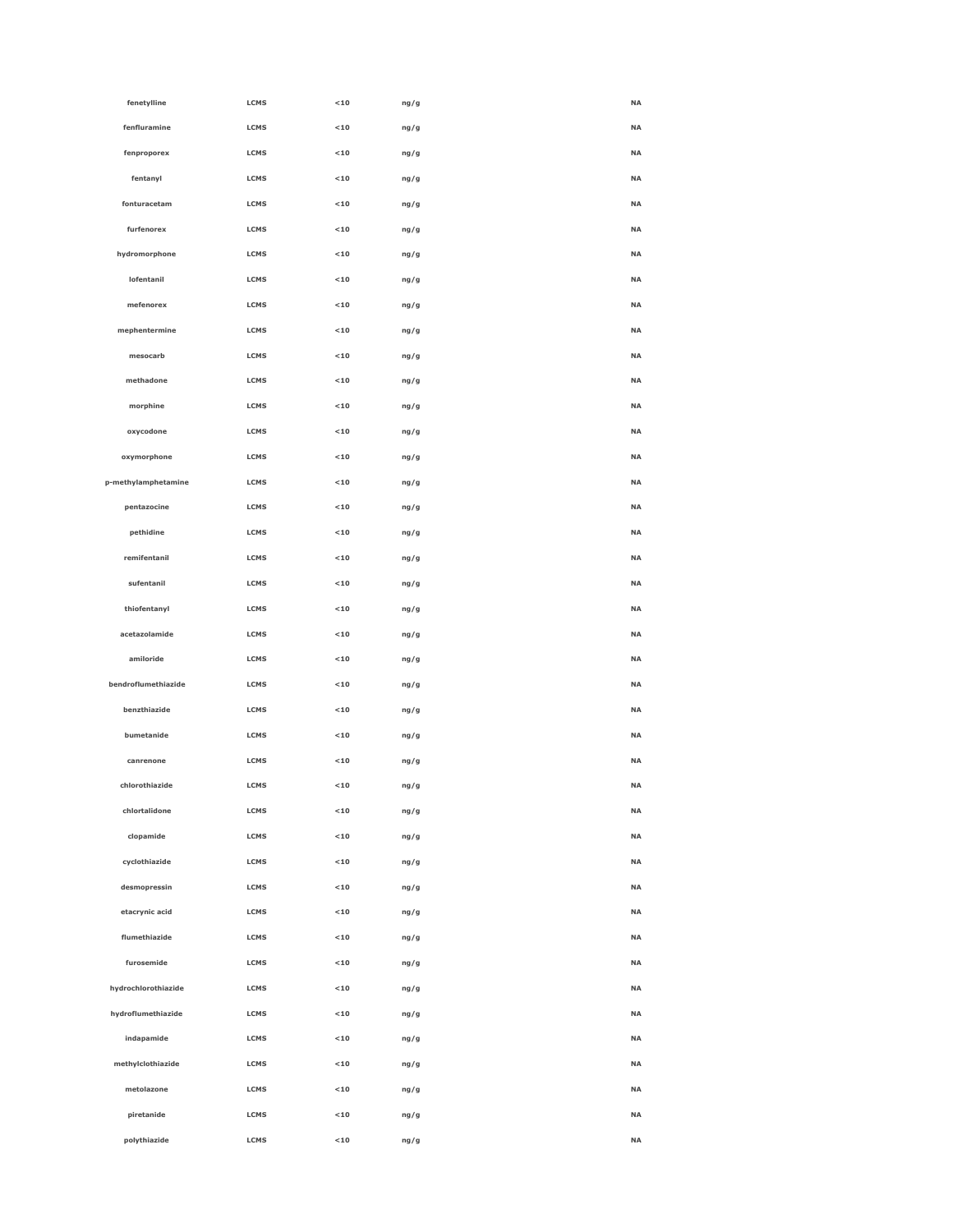| fenetylline         | LCMS        | $<10$                    | ng/g | NA        |
|---------------------|-------------|--------------------------|------|-----------|
| fenfluramine        | LCMS        | $<10$                    | ng/g | NA        |
| fenproporex         | LCMS        | $<$ 10 $\,$              | ng/g | NA        |
| fentanyl            | LCMS        | $<10$                    | ng/g | <b>NA</b> |
| fonturacetam        | LCMS        | $<10$                    | ng/g | <b>NA</b> |
| furfenorex          | LCMS        | $<10$                    | ng/g | NA        |
| hydromorphone       | <b>LCMS</b> | $<$ 10 $\,$              | ng/g | NA        |
| lofentanil          | LCMS        | $<$ 10 $\,$              | ng/g | NA        |
| mefenorex           | LCMS        | $<10$                    | ng/g | NA        |
| mephentermine       | LCMS        | $<10$                    | ng/g | NA        |
| mesocarb            | LCMS        | $<10$                    | ng/g | <b>NA</b> |
| methadone           | LCMS        | $<$ 10 $\,$              | ng/g | <b>NA</b> |
| morphine            | <b>LCMS</b> | $<$ 10 $\,$              | ng/g | NA        |
| oxycodone           | LCMS        | $<$ 10 $\,$              | ng/g | NA        |
| oxymorphone         | LCMS        | $<$ 10 $\,$              | ng/g | NA        |
| p-methylamphetamine | LCMS        | $<10$                    | ng/g | NA        |
| pentazocine         | LCMS        | $<$ 10 $\,$              | ng/g | <b>NA</b> |
| pethidine           | LCMS        | $<10$                    | ng/g | <b>NA</b> |
| remifentanil        | LCMS        | $<$ 10 $\,$              | ng/g | <b>NA</b> |
| sufentanil          | LCMS        | $<$ 10 $\,$              | ng/g | NA        |
| thiofentanyl        | LCMS        | $<$ 10 $\,$              | ng/g | NA        |
| acetazolamide       | LCMS        | $<$ 10 $\,$              | ng/g | <b>NA</b> |
| amiloride           | LCMS        | $<10$                    | ng/g | NA        |
| bendroflumethiazide | LCMS        | $<10$                    | ng/g | <b>NA</b> |
| benzthiazide        | <b>LCMS</b> | $<$ 10 $\,$              | ng/g | NA        |
| bumetanide          | <b>LCMS</b> | $<$ 10 $\,$              | ng/g | NA        |
| canrenone           | LCMS        | $<$ 10 $\,$              | ng/g | NA        |
| chlorothiazide      | <b>LCMS</b> | $10$                     | ng/g | NA        |
| chlortalidone       | LCMS        | $<$ 10 $\,$              | ng/g | <b>NA</b> |
| clopamide           | LCMS        | $<10$                    | ng/g | <b>NA</b> |
| cyclothiazide       | LCMS        | $<$ 10 $\,$              | ng/g | <b>NA</b> |
| desmopressin        | <b>LCMS</b> | $10$                     | ng/g | NA        |
| etacrynic acid      | LCMS        | $10$                     | ng/g | NA        |
| flumethiazide       | LCMS        | $<$ 10 $\,$              | ng/g | NA        |
| furosemide          | LCMS        | $<$ 10 $\,$              | ng/g | <b>NA</b> |
| hydrochlorothiazide | LCMS        | $\mathbf{<} \mathbf{10}$ | ng/g | <b>NA</b> |
| hydroflumethiazide  | <b>LCMS</b> | $<$ 10 $\,$              | ng/g | <b>NA</b> |
| indapamide          | <b>LCMS</b> | $10$                     | ng/g | NA        |
| methylclothiazide   | LCMS        | $10$                     | ng/g | NA        |
| metolazone          | LCMS        | $10$                     | ng/g | NA        |
| piretanide          | LCMS        | $<$ 10 $\,$              | ng/g | NA        |
| polythiazide        | LCMS        | $<$ 10 $\,$              | ng/g | $\sf NA$  |